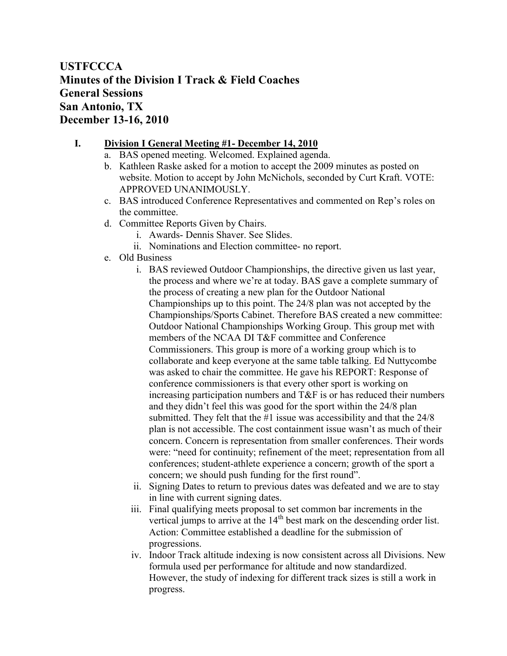## **USTFCCCA Minutes of the Division I Track & Field Coaches General Sessions San Antonio, TX December 13-16, 2010**

## **I. Division I General Meeting #1- December 14, 2010**

- a. BAS opened meeting. Welcomed. Explained agenda.
- b. Kathleen Raske asked for a motion to accept the 2009 minutes as posted on website. Motion to accept by John McNichols, seconded by Curt Kraft. VOTE: APPROVED UNANIMOUSLY.
- c. BAS introduced Conference Representatives and commented on Rep's roles on the committee.
- d. Committee Reports Given by Chairs.
	- i. Awards- Dennis Shaver. See Slides.
	- ii. Nominations and Election committee- no report.
- e. Old Business
	- i. BAS reviewed Outdoor Championships, the directive given us last year, the process and where we're at today. BAS gave a complete summary of the process of creating a new plan for the Outdoor National Championships up to this point. The 24/8 plan was not accepted by the Championships/Sports Cabinet. Therefore BAS created a new committee: Outdoor National Championships Working Group. This group met with members of the NCAA DI T&F committee and Conference Commissioners. This group is more of a working group which is to collaborate and keep everyone at the same table talking. Ed Nuttycombe was asked to chair the committee. He gave his REPORT: Response of conference commissioners is that every other sport is working on increasing participation numbers and T&F is or has reduced their numbers and they didn't feel this was good for the sport within the 24/8 plan submitted. They felt that the #1 issue was accessibility and that the 24/8 plan is not accessible. The cost containment issue wasn't as much of their concern. Concern is representation from smaller conferences. Their words were: "need for continuity; refinement of the meet; representation from all conferences; student-athlete experience a concern; growth of the sport a concern; we should push funding for the first round".
	- ii. Signing Dates to return to previous dates was defeated and we are to stay in line with current signing dates.
	- iii. Final qualifying meets proposal to set common bar increments in the vertical jumps to arrive at the  $14<sup>th</sup>$  best mark on the descending order list. Action: Committee established a deadline for the submission of progressions.
	- iv. Indoor Track altitude indexing is now consistent across all Divisions. New formula used per performance for altitude and now standardized. However, the study of indexing for different track sizes is still a work in progress.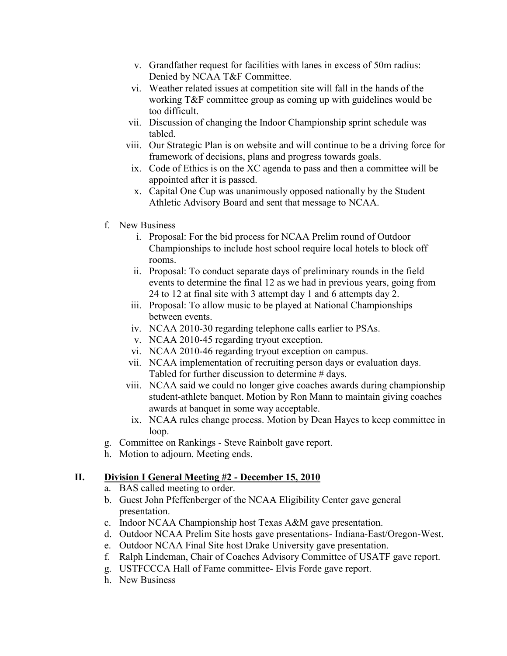- v. Grandfather request for facilities with lanes in excess of 50m radius: Denied by NCAA T&F Committee.
- vi. Weather related issues at competition site will fall in the hands of the working T&F committee group as coming up with guidelines would be too difficult.
- vii. Discussion of changing the Indoor Championship sprint schedule was tabled.
- viii. Our Strategic Plan is on website and will continue to be a driving force for framework of decisions, plans and progress towards goals.
- ix. Code of Ethics is on the XC agenda to pass and then a committee will be appointed after it is passed.
- x. Capital One Cup was unanimously opposed nationally by the Student Athletic Advisory Board and sent that message to NCAA.
- f. New Business
	- i. Proposal: For the bid process for NCAA Prelim round of Outdoor Championships to include host school require local hotels to block off rooms.
	- ii. Proposal: To conduct separate days of preliminary rounds in the field events to determine the final 12 as we had in previous years, going from 24 to 12 at final site with 3 attempt day 1 and 6 attempts day 2.
	- iii. Proposal: To allow music to be played at National Championships between events.
	- iv. NCAA 2010-30 regarding telephone calls earlier to PSAs.
	- v. NCAA 2010-45 regarding tryout exception.
	- vi. NCAA 2010-46 regarding tryout exception on campus.
	- vii. NCAA implementation of recruiting person days or evaluation days. Tabled for further discussion to determine # days.
	- viii. NCAA said we could no longer give coaches awards during championship student-athlete banquet. Motion by Ron Mann to maintain giving coaches awards at banquet in some way acceptable.
	- ix. NCAA rules change process. Motion by Dean Hayes to keep committee in loop.
- g. Committee on Rankings Steve Rainbolt gave report.
- h. Motion to adjourn. Meeting ends.

## **II. Division I General Meeting #2 - December 15, 2010**

- a. BAS called meeting to order.
- b. Guest John Pfeffenberger of the NCAA Eligibility Center gave general presentation.
- c. Indoor NCAA Championship host Texas A&M gave presentation.
- d. Outdoor NCAA Prelim Site hosts gave presentations- Indiana-East/Oregon-West.
- e. Outdoor NCAA Final Site host Drake University gave presentation.
- f. Ralph Lindeman, Chair of Coaches Advisory Committee of USATF gave report.
- g. USTFCCCA Hall of Fame committee- Elvis Forde gave report.
- h. New Business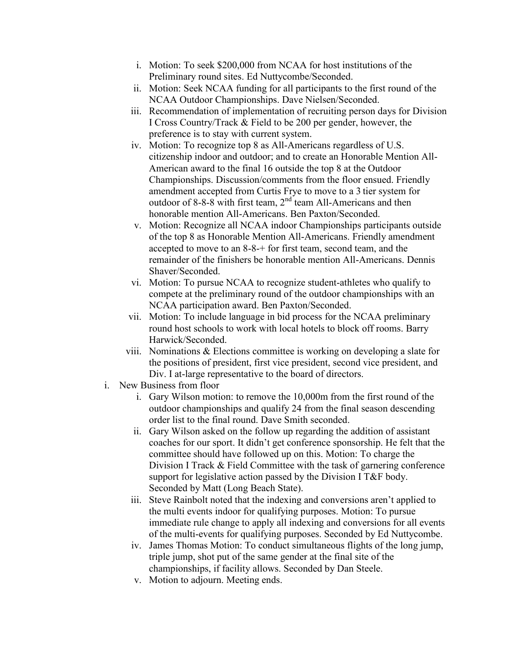- i. Motion: To seek \$200,000 from NCAA for host institutions of the Preliminary round sites. Ed Nuttycombe/Seconded.
- ii. Motion: Seek NCAA funding for all participants to the first round of the NCAA Outdoor Championships. Dave Nielsen/Seconded.
- iii. Recommendation of implementation of recruiting person days for Division I Cross Country/Track & Field to be 200 per gender, however, the preference is to stay with current system.
- iv. Motion: To recognize top 8 as All-Americans regardless of U.S. citizenship indoor and outdoor; and to create an Honorable Mention All-American award to the final 16 outside the top 8 at the Outdoor Championships. Discussion/comments from the floor ensued. Friendly amendment accepted from Curtis Frye to move to a 3 tier system for outdoor of 8-8-8 with first team, 2<sup>nd</sup> team All-Americans and then honorable mention All-Americans. Ben Paxton/Seconded.
- v. Motion: Recognize all NCAA indoor Championships participants outside of the top 8 as Honorable Mention All-Americans. Friendly amendment accepted to move to an 8-8-+ for first team, second team, and the remainder of the finishers be honorable mention All-Americans. Dennis Shaver/Seconded.
- vi. Motion: To pursue NCAA to recognize student-athletes who qualify to compete at the preliminary round of the outdoor championships with an NCAA participation award. Ben Paxton/Seconded.
- vii. Motion: To include language in bid process for the NCAA preliminary round host schools to work with local hotels to block off rooms. Barry Harwick/Seconded.
- viii. Nominations & Elections committee is working on developing a slate for the positions of president, first vice president, second vice president, and Div. I at-large representative to the board of directors.
- i. New Business from floor
	- i. Gary Wilson motion: to remove the 10,000m from the first round of the outdoor championships and qualify 24 from the final season descending order list to the final round. Dave Smith seconded.
	- ii. Gary Wilson asked on the follow up regarding the addition of assistant coaches for our sport. It didn't get conference sponsorship. He felt that the committee should have followed up on this. Motion: To charge the Division I Track & Field Committee with the task of garnering conference support for legislative action passed by the Division I T&F body. Seconded by Matt (Long Beach State).
	- iii. Steve Rainbolt noted that the indexing and conversions aren't applied to the multi events indoor for qualifying purposes. Motion: To pursue immediate rule change to apply all indexing and conversions for all events of the multi-events for qualifying purposes. Seconded by Ed Nuttycombe.
	- iv. James Thomas Motion: To conduct simultaneous flights of the long jump, triple jump, shot put of the same gender at the final site of the championships, if facility allows. Seconded by Dan Steele.
	- v. Motion to adjourn. Meeting ends.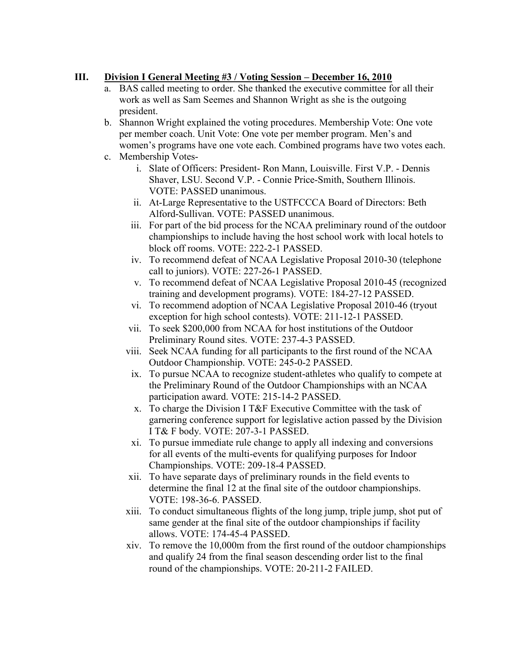## **III. Division I General Meeting #3 / Voting Session – December 16, 2010**

- a. BAS called meeting to order. She thanked the executive committee for all their work as well as Sam Seemes and Shannon Wright as she is the outgoing president.
- b. Shannon Wright explained the voting procedures. Membership Vote: One vote per member coach. Unit Vote: One vote per member program. Men's and women's programs have one vote each. Combined programs have two votes each.
- c. Membership Votes
	- i. Slate of Officers: President- Ron Mann, Louisville. First V.P. Dennis Shaver, LSU. Second V.P. - Connie Price-Smith, Southern Illinois. VOTE: PASSED unanimous.
	- ii. At-Large Representative to the USTFCCCA Board of Directors: Beth Alford-Sullivan. VOTE: PASSED unanimous.
	- iii. For part of the bid process for the NCAA preliminary round of the outdoor championships to include having the host school work with local hotels to block off rooms. VOTE: 222-2-1 PASSED.
	- iv. To recommend defeat of NCAA Legislative Proposal 2010-30 (telephone call to juniors). VOTE: 227-26-1 PASSED.
	- v. To recommend defeat of NCAA Legislative Proposal 2010-45 (recognized training and development programs). VOTE: 184-27-12 PASSED.
	- vi. To recommend adoption of NCAA Legislative Proposal 2010-46 (tryout exception for high school contests). VOTE: 211-12-1 PASSED.
	- vii. To seek \$200,000 from NCAA for host institutions of the Outdoor Preliminary Round sites. VOTE: 237-4-3 PASSED.
	- viii. Seek NCAA funding for all participants to the first round of the NCAA Outdoor Championship. VOTE: 245-0-2 PASSED.
	- ix. To pursue NCAA to recognize student-athletes who qualify to compete at the Preliminary Round of the Outdoor Championships with an NCAA participation award. VOTE: 215-14-2 PASSED.
	- x. To charge the Division I T&F Executive Committee with the task of garnering conference support for legislative action passed by the Division I T& F body. VOTE: 207-3-1 PASSED.
	- xi. To pursue immediate rule change to apply all indexing and conversions for all events of the multi-events for qualifying purposes for Indoor Championships. VOTE: 209-18-4 PASSED.
	- xii. To have separate days of preliminary rounds in the field events to determine the final 12 at the final site of the outdoor championships. VOTE: 198-36-6. PASSED.
	- xiii. To conduct simultaneous flights of the long jump, triple jump, shot put of same gender at the final site of the outdoor championships if facility allows. VOTE: 174-45-4 PASSED.
	- xiv. To remove the 10,000m from the first round of the outdoor championships and qualify 24 from the final season descending order list to the final round of the championships. VOTE: 20-211-2 FAILED.